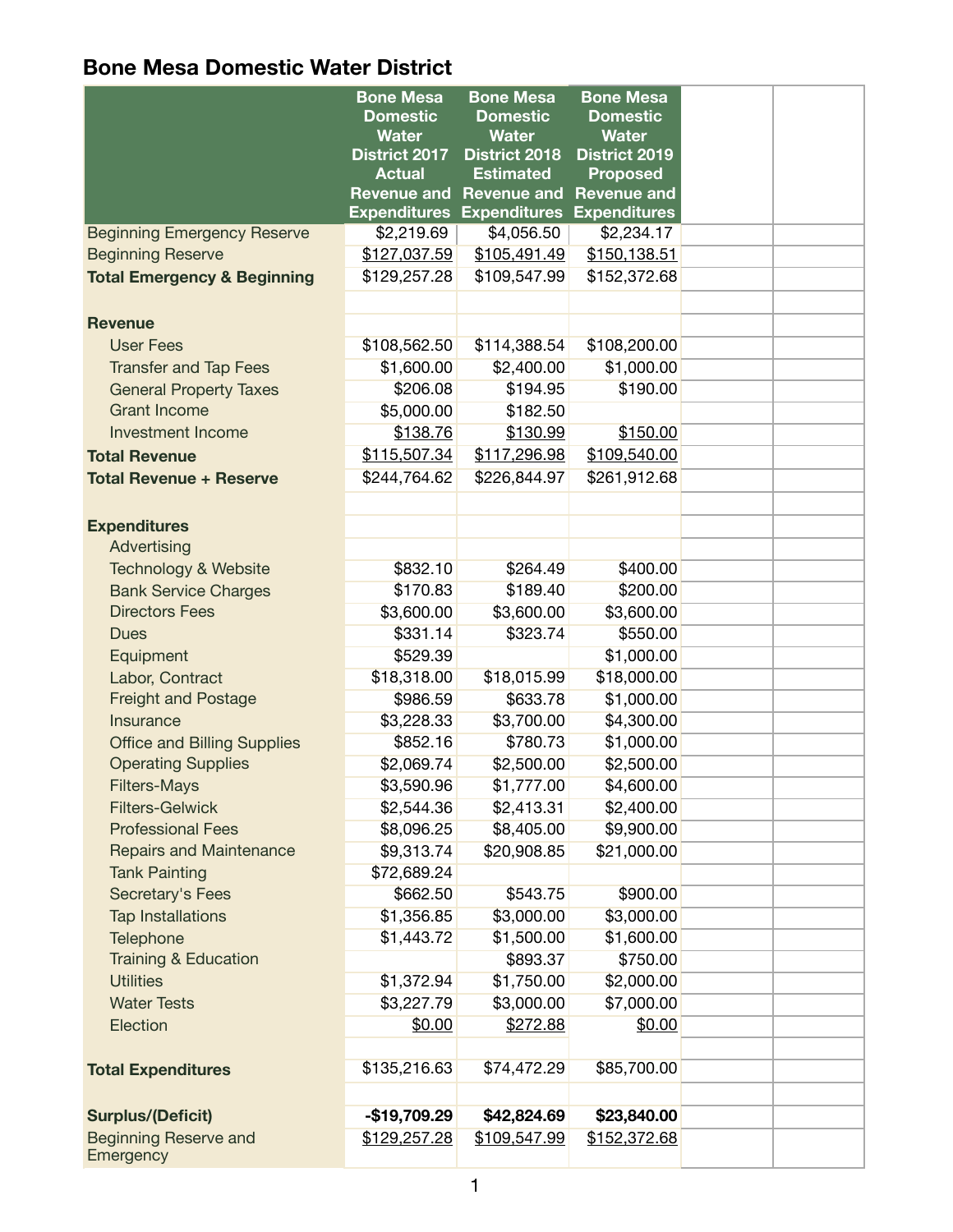|                                           | <b>Bone Mesa</b>                | <b>Bone Mesa</b>                 | <b>Bone Mesa</b>                |  |
|-------------------------------------------|---------------------------------|----------------------------------|---------------------------------|--|
|                                           | <b>Domestic</b><br><b>Water</b> | <b>Domestic</b><br><b>Water</b>  | <b>Domestic</b><br><b>Water</b> |  |
|                                           | District 2017                   | <b>District 2018</b>             | <b>District 2019</b>            |  |
|                                           | <b>Actual</b>                   | <b>Estimated</b>                 | <b>Proposed</b>                 |  |
|                                           | <b>Revenue and</b>              | <b>Revenue and</b>               | <b>Revenue and</b>              |  |
|                                           |                                 | <b>Expenditures Expenditures</b> | <b>Expenditures</b>             |  |
| <b>Beginning Emergency Reserve</b>        | \$2,219.69                      | \$4,056.50                       | \$2,234.17                      |  |
| <b>Beginning Reserve</b>                  | \$127,037.59                    | \$105,491.49                     | \$150,138.51                    |  |
| <b>Total Emergency &amp; Beginning</b>    | \$129,257.28                    | \$109,547.99                     | \$152,372.68                    |  |
|                                           |                                 |                                  |                                 |  |
| <b>Revenue</b>                            |                                 |                                  |                                 |  |
| <b>User Fees</b>                          | \$108,562.50                    | \$114,388.54                     | \$108,200.00                    |  |
| <b>Transfer and Tap Fees</b>              | \$1,600.00                      | \$2,400.00                       | \$1,000.00                      |  |
| <b>General Property Taxes</b>             | \$206.08                        | \$194.95                         | \$190.00                        |  |
| <b>Grant Income</b>                       | \$5,000.00                      | \$182.50                         |                                 |  |
| <b>Investment Income</b>                  | \$138.76                        | \$130.99                         | \$150.00                        |  |
| <b>Total Revenue</b>                      | \$115,507.34                    | \$117,296.98                     | \$109,540.00                    |  |
| <b>Total Revenue + Reserve</b>            | \$244,764.62                    | \$226,844.97                     | \$261,912.68                    |  |
|                                           |                                 |                                  |                                 |  |
| <b>Expenditures</b>                       |                                 |                                  |                                 |  |
| Advertising                               |                                 |                                  |                                 |  |
| <b>Technology &amp; Website</b>           | \$832.10                        | \$264.49                         | \$400.00                        |  |
| <b>Bank Service Charges</b>               | \$170.83                        | \$189.40                         | \$200.00                        |  |
| <b>Directors Fees</b>                     | \$3,600.00                      | \$3,600.00                       | \$3,600.00                      |  |
| <b>Dues</b>                               | \$331.14                        | \$323.74                         | \$550.00                        |  |
| Equipment                                 | \$529.39                        |                                  | \$1,000.00                      |  |
| Labor, Contract                           | \$18,318.00                     | \$18,015.99                      | \$18,000.00                     |  |
| <b>Freight and Postage</b>                | \$986.59                        | \$633.78                         | \$1,000.00                      |  |
| Insurance                                 | \$3,228.33                      | \$3,700.00                       | \$4,300.00                      |  |
| <b>Office and Billing Supplies</b>        | \$852.16                        | \$780.73                         | \$1,000.00                      |  |
| <b>Operating Supplies</b>                 | \$2,069.74                      | \$2,500.00                       | \$2,500.00                      |  |
| <b>Filters-Mays</b>                       | \$3,590.96                      | \$1,777.00                       | \$4,600.00                      |  |
| <b>Filters-Gelwick</b>                    | \$2,544.36                      | \$2,413.31                       | \$2,400.00                      |  |
| <b>Professional Fees</b>                  | \$8,096.25                      | \$8,405.00                       | \$9,900.00                      |  |
| <b>Repairs and Maintenance</b>            | \$9,313.74                      | \$20,908.85                      | \$21,000.00                     |  |
| <b>Tank Painting</b>                      | \$72,689.24                     |                                  |                                 |  |
| Secretary's Fees                          | \$662.50                        | \$543.75                         | \$900.00                        |  |
| <b>Tap Installations</b>                  | \$1,356.85                      | \$3,000.00                       | \$3,000.00                      |  |
| <b>Telephone</b>                          | \$1,443.72                      | \$1,500.00                       | \$1,600.00                      |  |
| <b>Training &amp; Education</b>           |                                 | \$893.37                         | \$750.00                        |  |
| <b>Utilities</b>                          | \$1,372.94                      | \$1,750.00                       | \$2,000.00                      |  |
| <b>Water Tests</b>                        | \$3,227.79                      | \$3,000.00                       | \$7,000.00                      |  |
| Election                                  | \$0.00                          | \$272.88                         | \$0.00                          |  |
|                                           |                                 |                                  |                                 |  |
| <b>Total Expenditures</b>                 | \$135,216.63                    | \$74,472.29                      | \$85,700.00                     |  |
|                                           |                                 |                                  |                                 |  |
| <b>Surplus/(Deficit)</b>                  | $-$19,709.29$                   | \$42,824.69                      | \$23,840.00                     |  |
| <b>Beginning Reserve and</b><br>Emergency | \$129,257.28                    | \$109,547.99                     | \$152,372.68                    |  |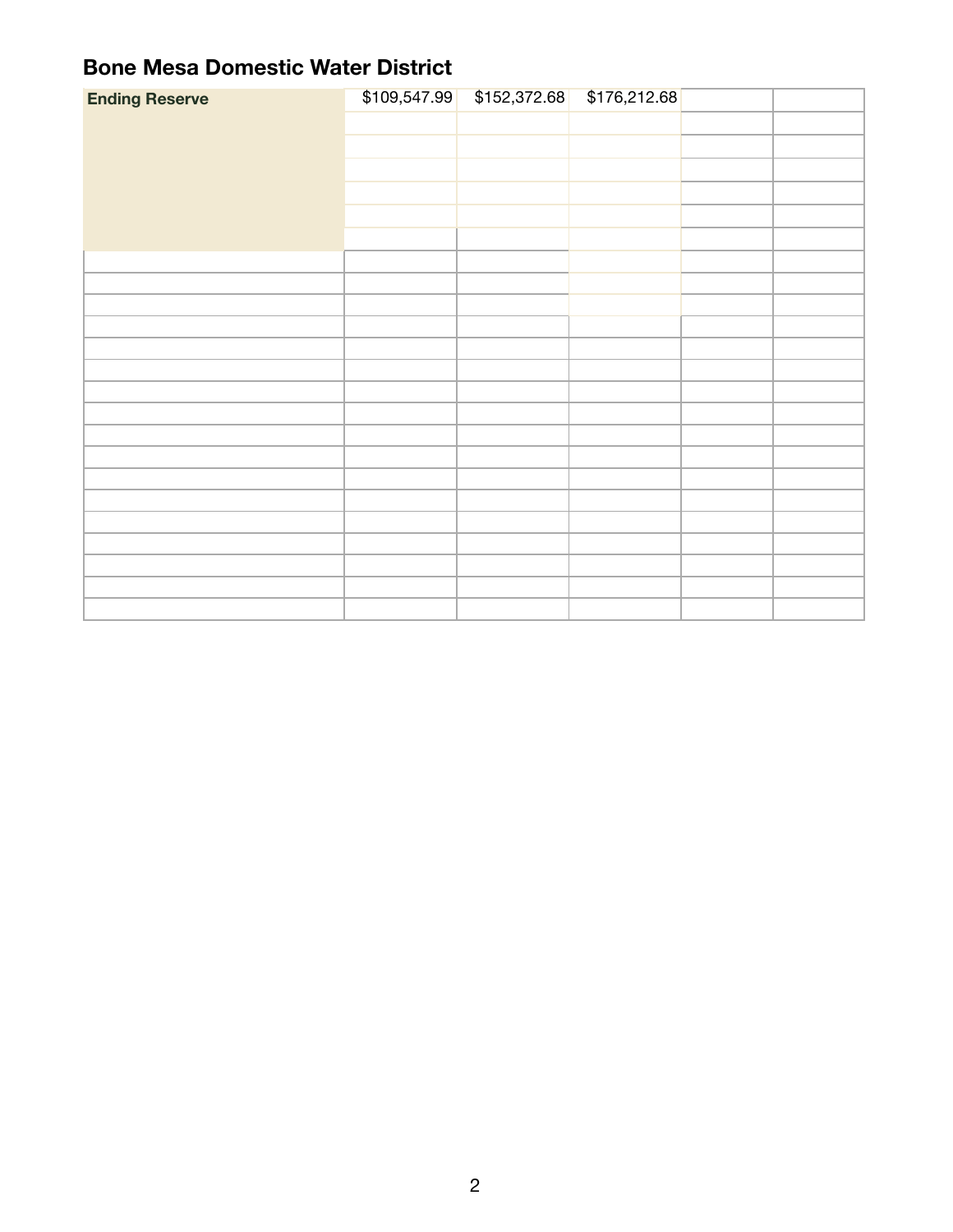| <b>Ending Reserve</b> |  | \$109,547.99 \$152,372.68 \$176,212.68 |  |
|-----------------------|--|----------------------------------------|--|
|                       |  |                                        |  |
|                       |  |                                        |  |
|                       |  |                                        |  |
|                       |  |                                        |  |
|                       |  |                                        |  |
|                       |  |                                        |  |
|                       |  |                                        |  |
|                       |  |                                        |  |
|                       |  |                                        |  |
|                       |  |                                        |  |
|                       |  |                                        |  |
|                       |  |                                        |  |
|                       |  |                                        |  |
|                       |  |                                        |  |
|                       |  |                                        |  |
|                       |  |                                        |  |
|                       |  |                                        |  |
|                       |  |                                        |  |
|                       |  |                                        |  |
|                       |  |                                        |  |
|                       |  |                                        |  |
|                       |  |                                        |  |
|                       |  |                                        |  |